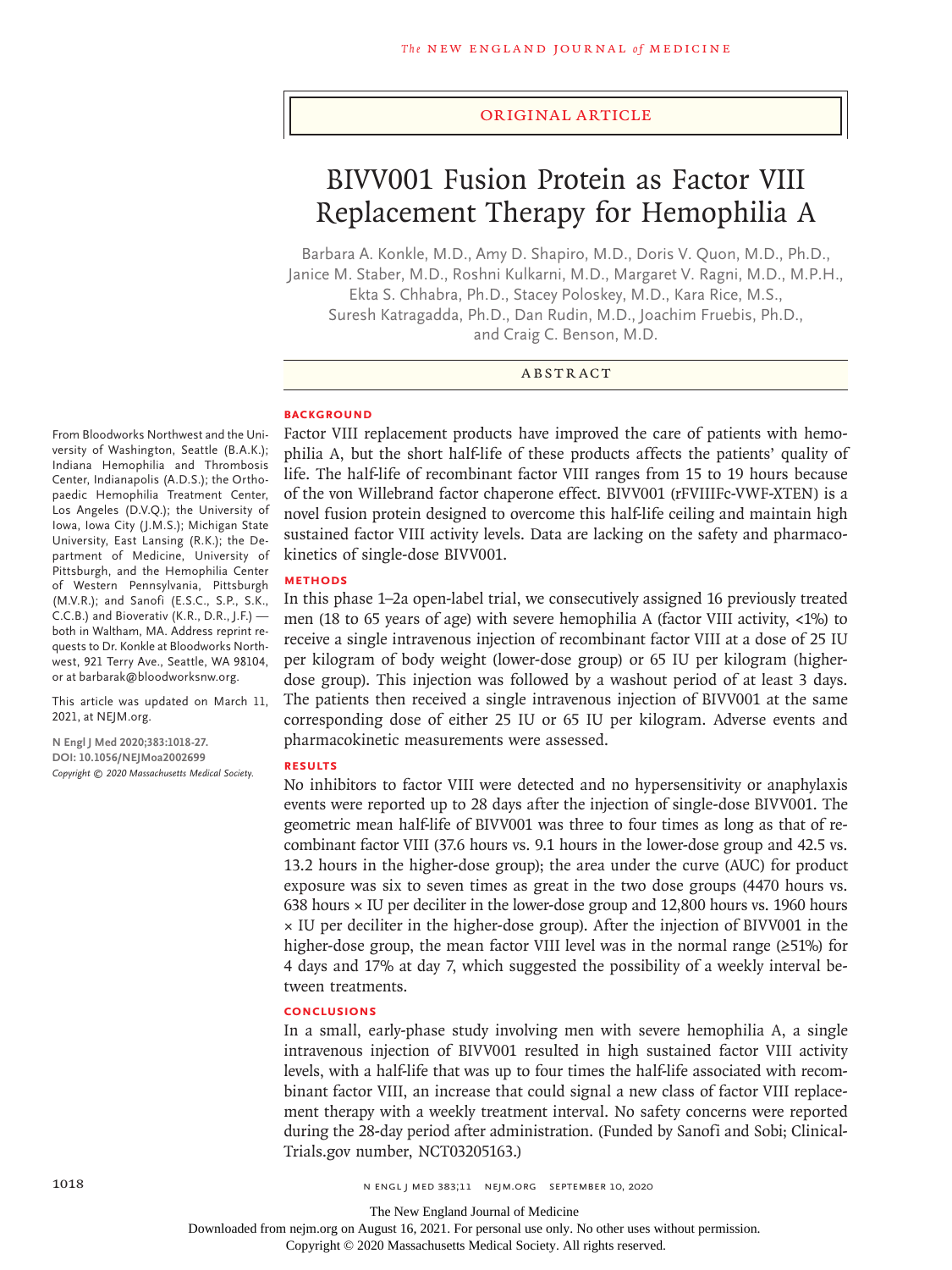## Original Article

# BIVV001 Fusion Protein as Factor VIII Replacement Therapy for Hemophilia A

Barbara A. Konkle, M.D., Amy D. Shapiro, M.D., Doris V. Quon, M.D., Ph.D., Janice M. Staber, M.D., Roshni Kulkarni, M.D., Margaret V. Ragni, M.D., M.P.H., Ekta S. Chhabra, Ph.D., Stacey Poloskey, M.D., Kara Rice, M.S., Suresh Katragadda, Ph.D., Dan Rudin, M.D., Joachim Fruebis, Ph.D., and Craig C. Benson, M.D.

## ABSTRACT

#### **BACKGROUND**

From Bloodworks Northwest and the University of Washington, Seattle (B.A.K.); Indiana Hemophilia and Thrombosis Center, Indianapolis (A.D.S.); the Orthopaedic Hemophilia Treatment Center, Los Angeles (D.V.Q.); the University of Iowa, Iowa City (J.M.S.); Michigan State University, East Lansing (R.K.); the Department of Medicine, University of Pittsburgh, and the Hemophilia Center of Western Pennsylvania, Pittsburgh (M.V.R.); and Sanofi (E.S.C., S.P., S.K., C.C.B.) and Bioverativ (K.R., D.R., J.F.) both in Waltham, MA. Address reprint requests to Dr. Konkle at Bloodworks Northwest, 921 Terry Ave., Seattle, WA 98104, or at barbarak@bloodworksnw.org.

This article was updated on March 11, 2021, at NEJM.org.

**N Engl J Med 2020;383:1018-27. DOI: 10.1056/NEJMoa2002699** *Copyright © 2020 Massachusetts Medical Society.* Factor VIII replacement products have improved the care of patients with hemophilia A, but the short half-life of these products affects the patients' quality of life. The half-life of recombinant factor VIII ranges from 15 to 19 hours because of the von Willebrand factor chaperone effect. BIVV001 (rFVIIIFc-VWF-XTEN) is a novel fusion protein designed to overcome this half-life ceiling and maintain high sustained factor VIII activity levels. Data are lacking on the safety and pharmacokinetics of single-dose BIVV001.

# **METHODS**

In this phase 1–2a open-label trial, we consecutively assigned 16 previously treated men (18 to 65 years of age) with severe hemophilia A (factor VIII activity, <1%) to receive a single intravenous injection of recombinant factor VIII at a dose of 25 IU per kilogram of body weight (lower-dose group) or 65 IU per kilogram (higherdose group). This injection was followed by a washout period of at least 3 days. The patients then received a single intravenous injection of BIVV001 at the same corresponding dose of either 25 IU or 65 IU per kilogram. Adverse events and pharmacokinetic measurements were assessed.

## **RESULTS**

No inhibitors to factor VIII were detected and no hypersensitivity or anaphylaxis events were reported up to 28 days after the injection of single-dose BIVV001. The geometric mean half-life of BIVV001 was three to four times as long as that of recombinant factor VIII (37.6 hours vs. 9.1 hours in the lower-dose group and 42.5 vs. 13.2 hours in the higher-dose group); the area under the curve (AUC) for product exposure was six to seven times as great in the two dose groups (4470 hours vs. 638 hours × IU per deciliter in the lower-dose group and 12,800 hours vs. 1960 hours × IU per deciliter in the higher-dose group). After the injection of BIVV001 in the higher-dose group, the mean factor VIII level was in the normal range  $(\geq 51\%)$  for 4 days and 17% at day 7, which suggested the possibility of a weekly interval between treatments.

#### **CONCLUSIONS**

In a small, early-phase study involving men with severe hemophilia A, a single intravenous injection of BIVV001 resulted in high sustained factor VIII activity levels, with a half-life that was up to four times the half-life associated with recombinant factor VIII, an increase that could signal a new class of factor VIII replacement therapy with a weekly treatment interval. No safety concerns were reported during the 28-day period after administration. (Funded by Sanofi and Sobi; Clinical-Trials.gov number, NCT03205163.)

The New England Journal of Medicine

Downloaded from nejm.org on August 16, 2021. For personal use only. No other uses without permission.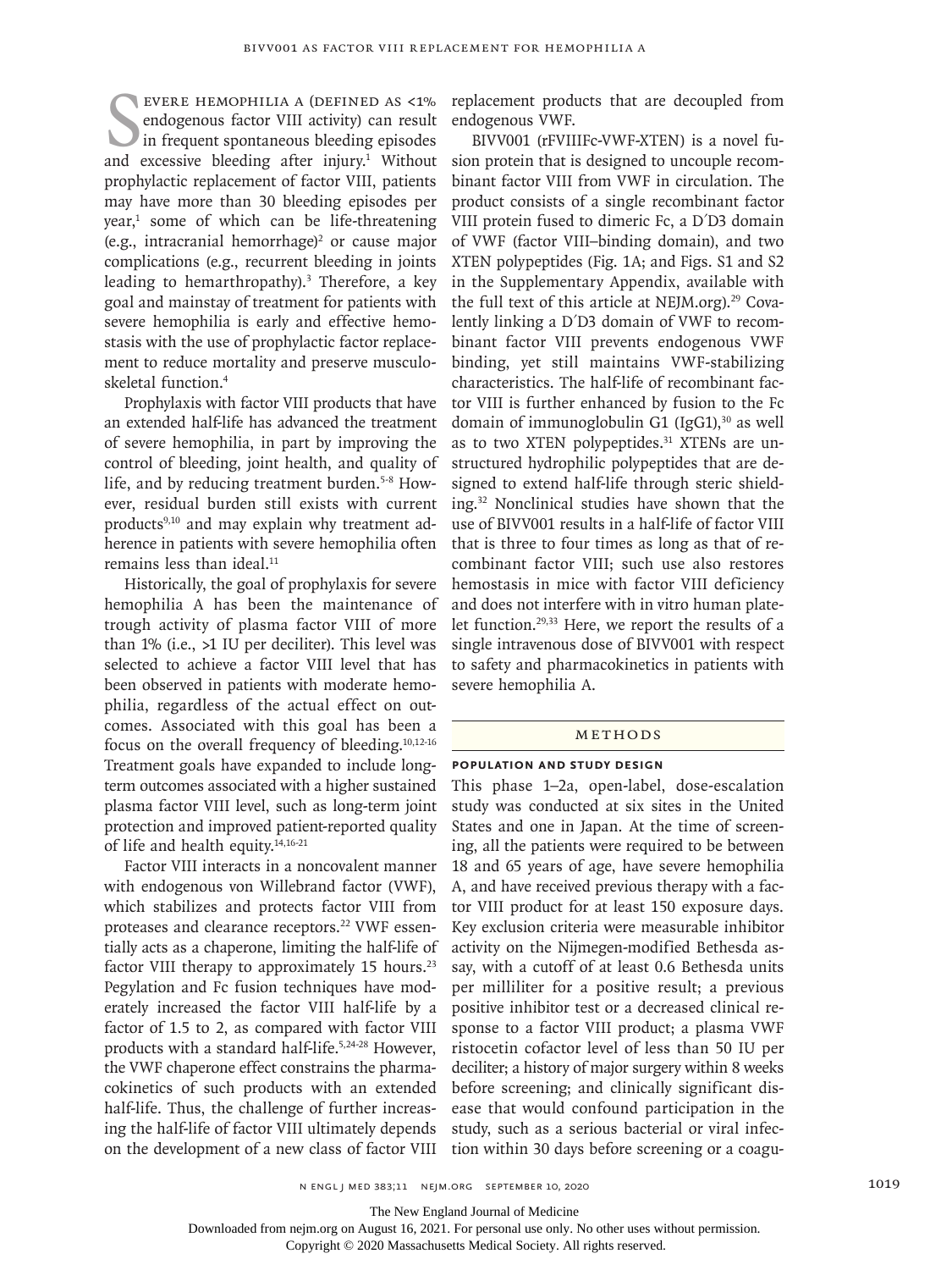SUBRE HEMOPHILIA A (DEFINED AS <1%)<br>endogenous factor VIII activity) can result<br>in frequent spontaneous bleeding episodes<br>and excessive bleeding after injury.<sup>1</sup> Without evere hemophilia A (defined as <1% endogenous factor VIII activity) can result In frequent spontaneous bleeding episodes prophylactic replacement of factor VIII, patients may have more than 30 bleeding episodes per year,<sup>1</sup> some of which can be life-threatening  $(e.g.,$  intracranial hemorrhage)<sup>2</sup> or cause major complications (e.g., recurrent bleeding in joints leading to hemarthropathy).<sup>3</sup> Therefore, a key goal and mainstay of treatment for patients with severe hemophilia is early and effective hemostasis with the use of prophylactic factor replacement to reduce mortality and preserve musculoskeletal function.4

Prophylaxis with factor VIII products that have an extended half-life has advanced the treatment of severe hemophilia, in part by improving the control of bleeding, joint health, and quality of life, and by reducing treatment burden.<sup>5-8</sup> However, residual burden still exists with current products<sup>9,10</sup> and may explain why treatment adherence in patients with severe hemophilia often remains less than ideal.<sup>11</sup>

Historically, the goal of prophylaxis for severe hemophilia A has been the maintenance of trough activity of plasma factor VIII of more than 1% (i.e., >1 IU per deciliter). This level was selected to achieve a factor VIII level that has been observed in patients with moderate hemophilia, regardless of the actual effect on outcomes. Associated with this goal has been a focus on the overall frequency of bleeding.10,12-16 Treatment goals have expanded to include longterm outcomes associated with a higher sustained plasma factor VIII level, such as long-term joint protection and improved patient-reported quality of life and health equity.14,16-21

Factor VIII interacts in a noncovalent manner with endogenous von Willebrand factor (VWF), which stabilizes and protects factor VIII from proteases and clearance receptors.<sup>22</sup> VWF essentially acts as a chaperone, limiting the half-life of factor VIII therapy to approximately  $15$  hours.<sup>23</sup> Pegylation and Fc fusion techniques have moderately increased the factor VIII half-life by a factor of 1.5 to 2, as compared with factor VIII products with a standard half-life.<sup>5,24-28</sup> However, the VWF chaperone effect constrains the pharmacokinetics of such products with an extended half-life. Thus, the challenge of further increasing the half-life of factor VIII ultimately depends on the development of a new class of factor VIII replacement products that are decoupled from endogenous VWF.

BIVV001 (rFVIIIFc-VWF-XTEN) is a novel fusion protein that is designed to uncouple recombinant factor VIII from VWF in circulation. The product consists of a single recombinant factor VIII protein fused to dimeric Fc, a D′D3 domain of VWF (factor VIII–binding domain), and two XTEN polypeptides (Fig. 1A; and Figs. S1 and S2 in the Supplementary Appendix, available with the full text of this article at NEJM.org). $29$  Covalently linking a D′D3 domain of VWF to recombinant factor VIII prevents endogenous VWF binding, yet still maintains VWF-stabilizing characteristics. The half-life of recombinant factor VIII is further enhanced by fusion to the Fc domain of immunoglobulin G1  $(IgG1)$ ,<sup>30</sup> as well as to two XTEN polypeptides.<sup>31</sup> XTENs are unstructured hydrophilic polypeptides that are designed to extend half-life through steric shielding.32 Nonclinical studies have shown that the use of BIVV001 results in a half-life of factor VIII that is three to four times as long as that of recombinant factor VIII; such use also restores hemostasis in mice with factor VIII deficiency and does not interfere with in vitro human platelet function.29,33 Here, we report the results of a single intravenous dose of BIVV001 with respect to safety and pharmacokinetics in patients with severe hemophilia A.

#### METHODS

## **Population and Study Design**

This phase 1–2a, open-label, dose-escalation study was conducted at six sites in the United States and one in Japan. At the time of screening, all the patients were required to be between 18 and 65 years of age, have severe hemophilia A, and have received previous therapy with a factor VIII product for at least 150 exposure days. Key exclusion criteria were measurable inhibitor activity on the Nijmegen-modified Bethesda assay, with a cutoff of at least 0.6 Bethesda units per milliliter for a positive result; a previous positive inhibitor test or a decreased clinical response to a factor VIII product; a plasma VWF ristocetin cofactor level of less than 50 IU per deciliter; a history of major surgery within 8 weeks before screening; and clinically significant disease that would confound participation in the study, such as a serious bacterial or viral infection within 30 days before screening or a coagu-

The New England Journal of Medicine

Downloaded from nejm.org on August 16, 2021. For personal use only. No other uses without permission.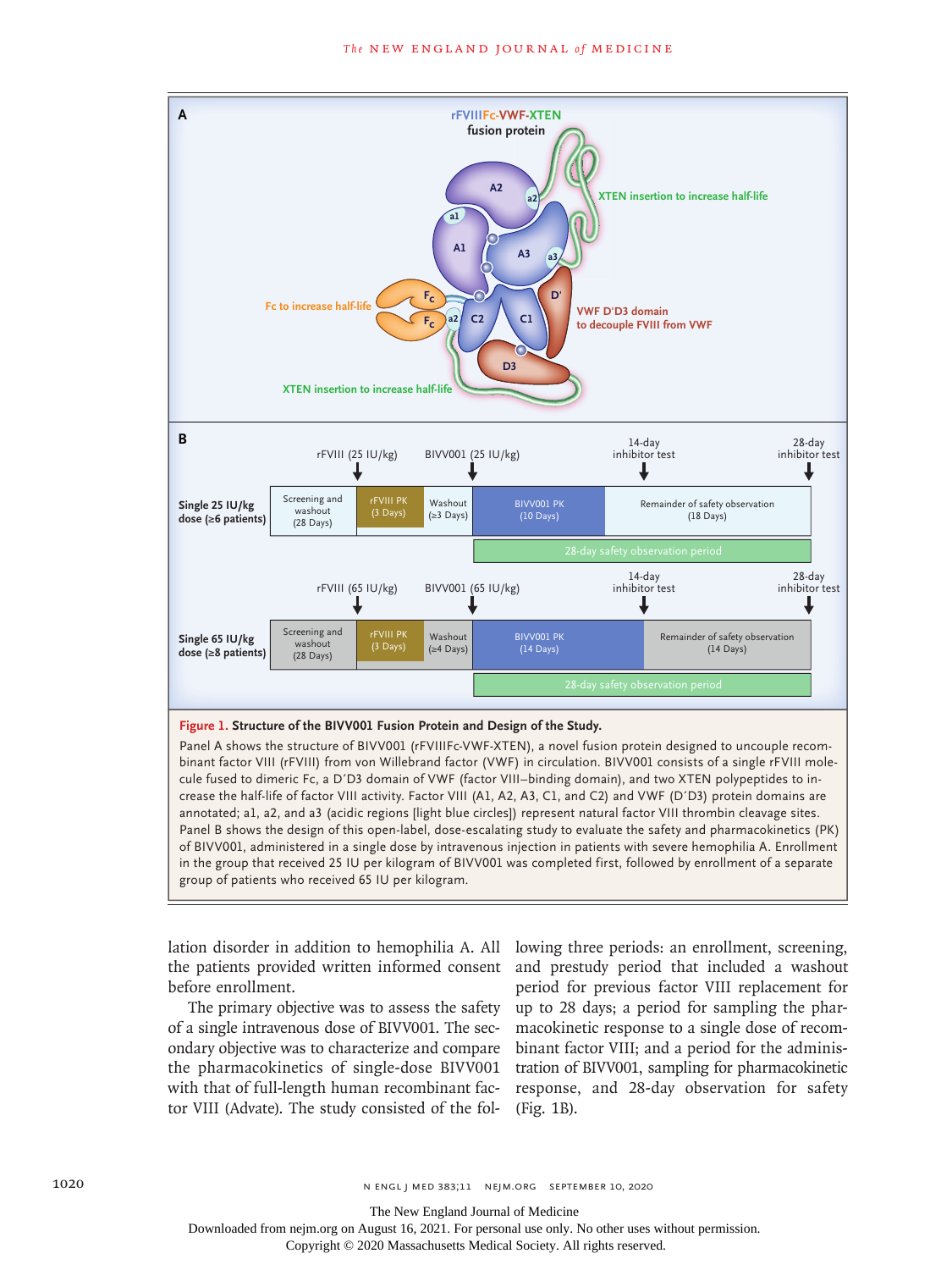

## **Figure 1. Structure of the BIVV001 Fusion Protein and Design of the Study.**

Panel A shows the structure of BIVV001 (rFVIIIFc-VWF-XTEN), a novel fusion protein designed to uncouple recombinant factor VIII (rFVIII) from von Willebrand factor (VWF) in circulation. BIVV001 consists of a single rFVIII molecule fused to dimeric Fc, a D′D3 domain of VWF (factor VIII–binding domain), and two XTEN polypeptides to increase the half-life of factor VIII activity. Factor VIII (A1, A2, A3, C1, and C2) and VWF (D′D3) protein domains are annotated; a1, a2, and a3 (acidic regions [light blue circles]) represent natural factor VIII thrombin cleavage sites. Panel B shows the design of this open-label, dose-escalating study to evaluate the safety and pharmacokinetics (PK) of BIVV001, administered in a single dose by intravenous injection in patients with severe hemophilia A. Enrollment in the group that received 25 IU per kilogram of BIVV001 was completed first, followed by enrollment of a separate group of patients who received 65 IU per kilogram.

the patients provided written informed consent before enrollment.

The primary objective was to assess the safety of a single intravenous dose of BIVV001. The secondary objective was to characterize and compare the pharmacokinetics of single-dose BIVV001 with that of full-length human recombinant factor VIII (Advate). The study consisted of the fol-

lation disorder in addition to hemophilia A. All lowing three periods: an enrollment, screening, and prestudy period that included a washout period for previous factor VIII replacement for up to 28 days; a period for sampling the pharmacokinetic response to a single dose of recombinant factor VIII; and a period for the administration of BIVV001, sampling for pharmacokinetic response, and 28-day observation for safety (Fig. 1B).

Downloaded from nejm.org on August 16, 2021. For personal use only. No other uses without permission.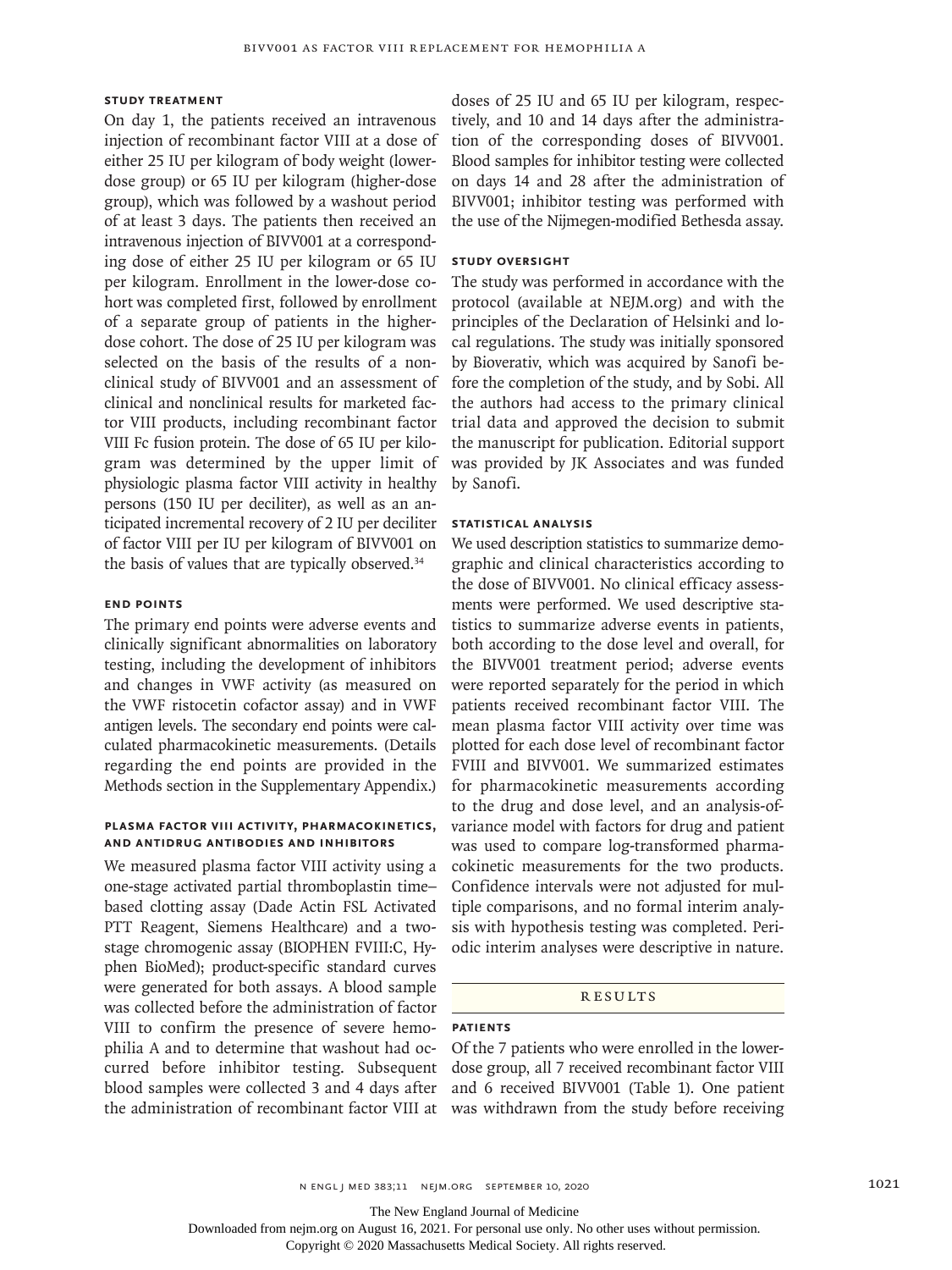# **Study Treatment**

On day 1, the patients received an intravenous injection of recombinant factor VIII at a dose of either 25 IU per kilogram of body weight (lowerdose group) or 65 IU per kilogram (higher-dose group), which was followed by a washout period of at least 3 days. The patients then received an intravenous injection of BIVV001 at a corresponding dose of either 25 IU per kilogram or 65 IU per kilogram. Enrollment in the lower-dose cohort was completed first, followed by enrollment of a separate group of patients in the higherdose cohort. The dose of 25 IU per kilogram was selected on the basis of the results of a nonclinical study of BIVV001 and an assessment of clinical and nonclinical results for marketed factor VIII products, including recombinant factor VIII Fc fusion protein. The dose of 65 IU per kilogram was determined by the upper limit of physiologic plasma factor VIII activity in healthy persons (150 IU per deciliter), as well as an anticipated incremental recovery of 2 IU per deciliter of factor VIII per IU per kilogram of BIVV001 on the basis of values that are typically observed.<sup>34</sup>

## **End Points**

The primary end points were adverse events and clinically significant abnormalities on laboratory testing, including the development of inhibitors and changes in VWF activity (as measured on the VWF ristocetin cofactor assay) and in VWF antigen levels. The secondary end points were calculated pharmacokinetic measurements. (Details regarding the end points are provided in the Methods section in the Supplementary Appendix.)

# **Plasma Factor VIII Activity, Pharmacokinetics, and Antidrug Antibodies and Inhibitors**

We measured plasma factor VIII activity using a one-stage activated partial thromboplastin time– based clotting assay (Dade Actin FSL Activated PTT Reagent, Siemens Healthcare) and a twostage chromogenic assay (BIOPHEN FVIII:C, Hyphen BioMed); product-specific standard curves were generated for both assays. A blood sample was collected before the administration of factor VIII to confirm the presence of severe hemophilia A and to determine that washout had occurred before inhibitor testing. Subsequent blood samples were collected 3 and 4 days after

doses of 25 IU and 65 IU per kilogram, respectively, and 10 and 14 days after the administration of the corresponding doses of BIVV001. Blood samples for inhibitor testing were collected on days 14 and 28 after the administration of BIVV001; inhibitor testing was performed with the use of the Nijmegen-modified Bethesda assay.

## **Study Oversight**

The study was performed in accordance with the protocol (available at NEJM.org) and with the principles of the Declaration of Helsinki and local regulations. The study was initially sponsored by Bioverativ, which was acquired by Sanofi before the completion of the study, and by Sobi. All the authors had access to the primary clinical trial data and approved the decision to submit the manuscript for publication. Editorial support was provided by JK Associates and was funded by Sanofi.

# **Statistical Analysis**

We used description statistics to summarize demographic and clinical characteristics according to the dose of BIVV001. No clinical efficacy assessments were performed. We used descriptive statistics to summarize adverse events in patients, both according to the dose level and overall, for the BIVV001 treatment period; adverse events were reported separately for the period in which patients received recombinant factor VIII. The mean plasma factor VIII activity over time was plotted for each dose level of recombinant factor FVIII and BIVV001. We summarized estimates for pharmacokinetic measurements according to the drug and dose level, and an analysis-ofvariance model with factors for drug and patient was used to compare log-transformed pharmacokinetic measurements for the two products. Confidence intervals were not adjusted for multiple comparisons, and no formal interim analysis with hypothesis testing was completed. Periodic interim analyses were descriptive in nature.

#### **RESULTS**

## **Patients**

the administration of recombinant factor VIII at was withdrawn from the study before receiving Of the 7 patients who were enrolled in the lowerdose group, all 7 received recombinant factor VIII and 6 received BIVV001 (Table 1). One patient

The New England Journal of Medicine

Downloaded from nejm.org on August 16, 2021. For personal use only. No other uses without permission.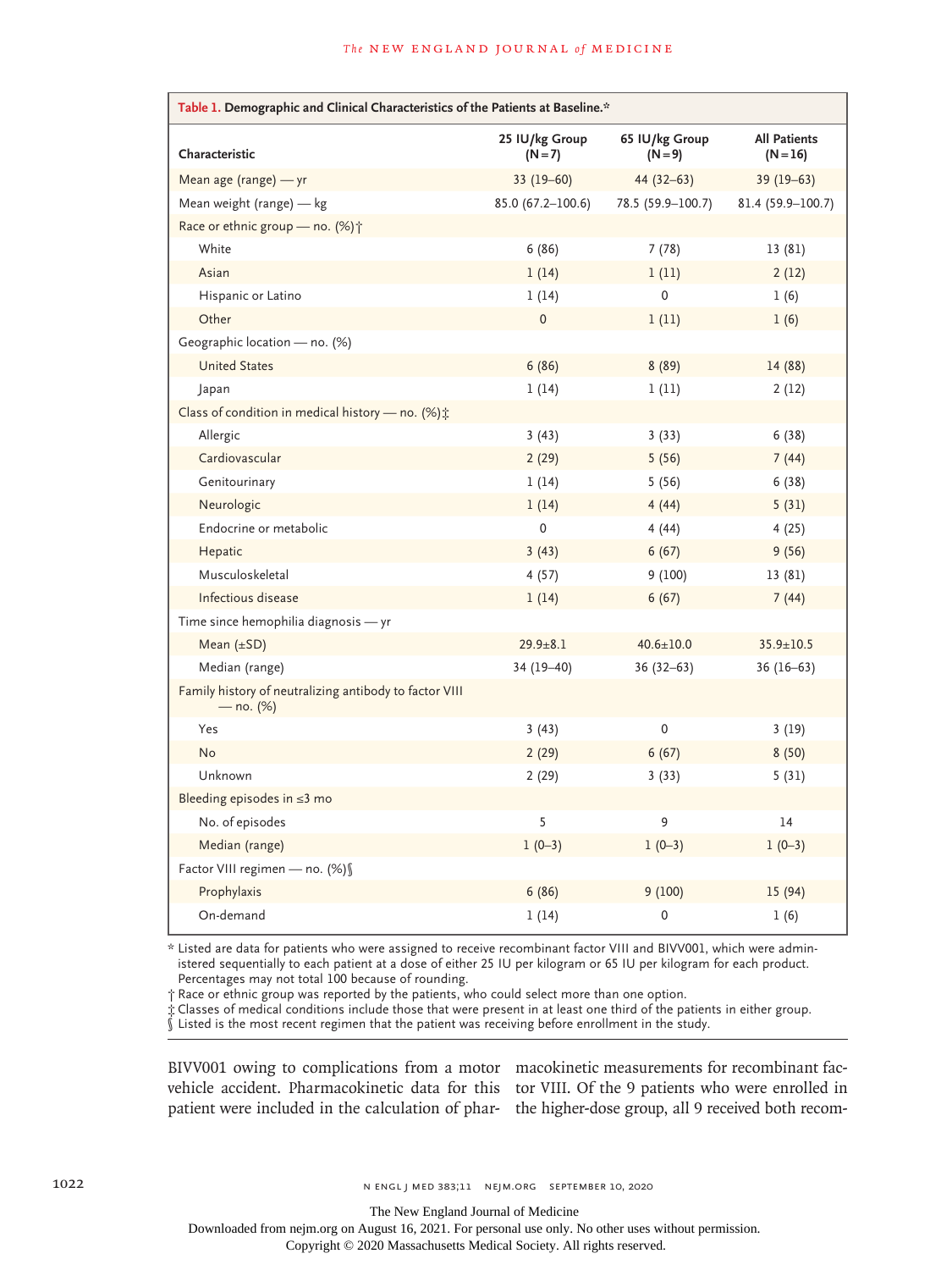| Table 1. Demographic and Clinical Characteristics of the Patients at Baseline.* |                           |                             |                                   |  |
|---------------------------------------------------------------------------------|---------------------------|-----------------------------|-----------------------------------|--|
| Characteristic                                                                  | 25 IU/kg Group<br>$(N=7)$ | 65 IU/kg Group<br>$(N = 9)$ | <b>All Patients</b><br>$(N = 16)$ |  |
| Mean age (range) - yr                                                           | $33(19-60)$               | $44(32-63)$                 | $39(19-63)$                       |  |
| Mean weight (range) — kg                                                        | $85.0(67.2 - 100.6)$      | 78.5 (59.9-100.7)           | 81.4 (59.9-100.7)                 |  |
| Race or ethnic group - no. (%) +                                                |                           |                             |                                   |  |
| White                                                                           | 6(86)                     | 7(78)                       | 13 (81)                           |  |
| Asian                                                                           | 1(14)                     | 1(11)                       | 2(12)                             |  |
| Hispanic or Latino                                                              | 1(14)                     | 0                           | 1(6)                              |  |
| Other                                                                           | $\pmb{0}$                 | 1(11)                       | 1(6)                              |  |
| Geographic location — no. $(\%)$                                                |                           |                             |                                   |  |
| <b>United States</b>                                                            | 6(86)                     | 8(89)                       | 14 (88)                           |  |
| Japan                                                                           | 1(14)                     | 1(11)                       | 2(12)                             |  |
| Class of condition in medical history - no. (%):                                |                           |                             |                                   |  |
| Allergic                                                                        | 3(43)                     | 3(33)                       | 6(38)                             |  |
| Cardiovascular                                                                  | 2(29)                     | 5(56)                       | 7(44)                             |  |
| Genitourinary                                                                   | 1(14)                     | 5(56)                       | 6(38)                             |  |
| Neurologic                                                                      | 1(14)                     | 4(44)                       | 5(31)                             |  |
| Endocrine or metabolic                                                          | $\mathbf 0$               | 4(44)                       | 4(25)                             |  |
| Hepatic                                                                         | 3(43)                     | 6(67)                       | 9(56)                             |  |
| Musculoskeletal                                                                 | 4(57)                     | 9(100)                      | 13 (81)                           |  |
| Infectious disease                                                              | 1(14)                     | 6(67)                       | 7(44)                             |  |
| Time since hemophilia diagnosis - yr                                            |                           |                             |                                   |  |
| Mean $(\pm SD)$                                                                 | $29.9 \pm 8.1$            | $40.6 \pm 10.0$             | $35.9 \pm 10.5$                   |  |
| Median (range)                                                                  | 34 (19-40)                | $36(32-63)$                 | $36(16-63)$                       |  |
| Family history of neutralizing antibody to factor VIII<br>— no. (%)             |                           |                             |                                   |  |
| Yes                                                                             | 3 (43)                    | $\mathbf 0$                 | 3(19)                             |  |
| <b>No</b>                                                                       | 2(29)                     | 6(67)                       | 8(50)                             |  |
| Unknown                                                                         | 2(29)                     | 3(33)                       | 5(31)                             |  |
| Bleeding episodes in $\leq$ 3 mo                                                |                           |                             |                                   |  |
| No. of episodes                                                                 | 5                         | 9                           | 14                                |  |
| Median (range)                                                                  | $1(0-3)$                  | $1(0-3)$                    | $1(0-3)$                          |  |
| Factor VIII regimen - no. (%) \                                                 |                           |                             |                                   |  |
| Prophylaxis                                                                     | 6(86)                     | 9(100)                      | 15 (94)                           |  |
| On-demand                                                                       | 1(14)                     | 0                           | 1(6)                              |  |

\* Listed are data for patients who were assigned to receive recombinant factor VIII and BIVV001, which were administered sequentially to each patient at a dose of either 25 IU per kilogram or 65 IU per kilogram for each product. Percentages may not total 100 because of rounding.

† Race or ethnic group was reported by the patients, who could select more than one option.

‡ Classes of medical conditions include those that were present in at least one third of the patients in either group.

§ Listed is the most recent regimen that the patient was receiving before enrollment in the study.

BIVV001 owing to complications from a motor macokinetic measurements for recombinant facvehicle accident. Pharmacokinetic data for this tor VIII. Of the 9 patients who were enrolled in patient were included in the calculation of phar-the higher-dose group, all 9 received both recom-

The New England Journal of Medicine

Downloaded from nejm.org on August 16, 2021. For personal use only. No other uses without permission.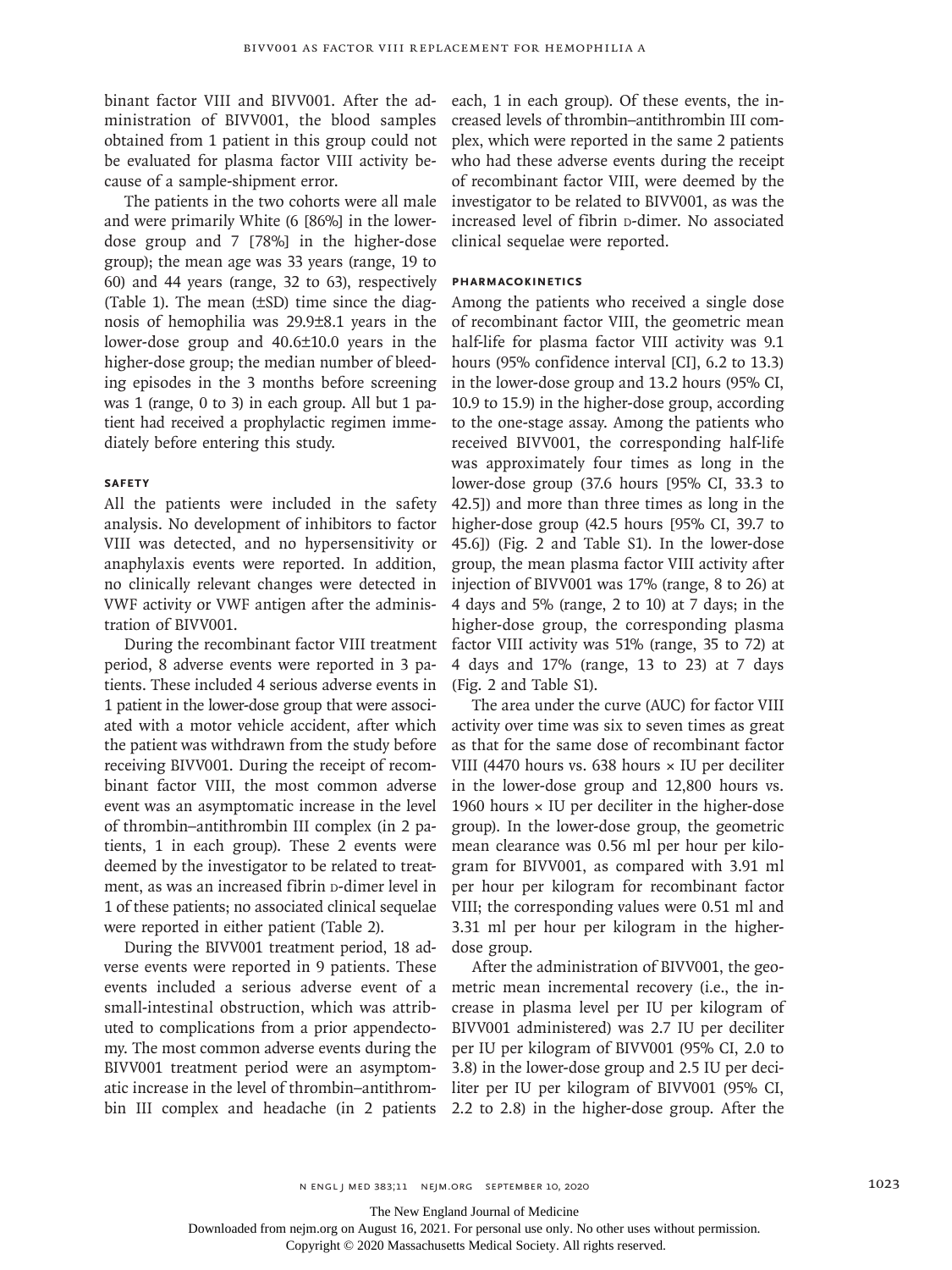binant factor VIII and BIVV001. After the administration of BIVV001, the blood samples obtained from 1 patient in this group could not be evaluated for plasma factor VIII activity because of a sample-shipment error.

The patients in the two cohorts were all male and were primarily White (6 [86%] in the lowerdose group and 7 [78%] in the higher-dose group); the mean age was 33 years (range, 19 to 60) and 44 years (range, 32 to 63), respectively (Table 1). The mean (±SD) time since the diagnosis of hemophilia was 29.9±8.1 years in the lower-dose group and 40.6±10.0 years in the higher-dose group; the median number of bleeding episodes in the 3 months before screening was 1 (range, 0 to 3) in each group. All but 1 patient had received a prophylactic regimen immediately before entering this study.

## **Safety**

All the patients were included in the safety analysis. No development of inhibitors to factor VIII was detected, and no hypersensitivity or anaphylaxis events were reported. In addition, no clinically relevant changes were detected in VWF activity or VWF antigen after the administration of BIVV001.

During the recombinant factor VIII treatment period, 8 adverse events were reported in 3 patients. These included 4 serious adverse events in 1 patient in the lower-dose group that were associated with a motor vehicle accident, after which the patient was withdrawn from the study before receiving BIVV001. During the receipt of recombinant factor VIII, the most common adverse event was an asymptomatic increase in the level of thrombin–antithrombin III complex (in 2 patients, 1 in each group). These 2 events were deemed by the investigator to be related to treatment, as was an increased fibrin p-dimer level in 1 of these patients; no associated clinical sequelae were reported in either patient (Table 2).

During the BIVV001 treatment period, 18 adverse events were reported in 9 patients. These events included a serious adverse event of a small-intestinal obstruction, which was attributed to complications from a prior appendectomy. The most common adverse events during the BIVV001 treatment period were an asymptomatic increase in the level of thrombin–antithrombin III complex and headache (in 2 patients

each, 1 in each group). Of these events, the increased levels of thrombin–antithrombin III complex, which were reported in the same 2 patients who had these adverse events during the receipt of recombinant factor VIII, were deemed by the investigator to be related to BIVV001, as was the increased level of fibrin p-dimer. No associated clinical sequelae were reported.

# **Pharmacokinetics**

Among the patients who received a single dose of recombinant factor VIII, the geometric mean half-life for plasma factor VIII activity was 9.1 hours (95% confidence interval [CI], 6.2 to 13.3) in the lower-dose group and 13.2 hours (95% CI, 10.9 to 15.9) in the higher-dose group, according to the one-stage assay. Among the patients who received BIVV001, the corresponding half-life was approximately four times as long in the lower-dose group (37.6 hours [95% CI, 33.3 to 42.5]) and more than three times as long in the higher-dose group (42.5 hours [95% CI, 39.7 to 45.6]) (Fig. 2 and Table S1). In the lower-dose group, the mean plasma factor VIII activity after injection of BIVV001 was 17% (range, 8 to 26) at 4 days and 5% (range, 2 to 10) at 7 days; in the higher-dose group, the corresponding plasma factor VIII activity was 51% (range, 35 to 72) at 4 days and 17% (range, 13 to 23) at 7 days (Fig. 2 and Table S1).

The area under the curve (AUC) for factor VIII activity over time was six to seven times as great as that for the same dose of recombinant factor VIII (4470 hours vs. 638 hours  $\times$  IU per deciliter in the lower-dose group and 12,800 hours vs. 1960 hours  $\times$  IU per deciliter in the higher-dose group). In the lower-dose group, the geometric mean clearance was 0.56 ml per hour per kilogram for BIVV001, as compared with 3.91 ml per hour per kilogram for recombinant factor VIII; the corresponding values were 0.51 ml and 3.31 ml per hour per kilogram in the higherdose group.

After the administration of BIVV001, the geometric mean incremental recovery (i.e., the increase in plasma level per IU per kilogram of BIVV001 administered) was 2.7 IU per deciliter per IU per kilogram of BIVV001 (95% CI, 2.0 to 3.8) in the lower-dose group and 2.5 IU per deciliter per IU per kilogram of BIVV001 (95% CI, 2.2 to 2.8) in the higher-dose group. After the

The New England Journal of Medicine

Downloaded from nejm.org on August 16, 2021. For personal use only. No other uses without permission.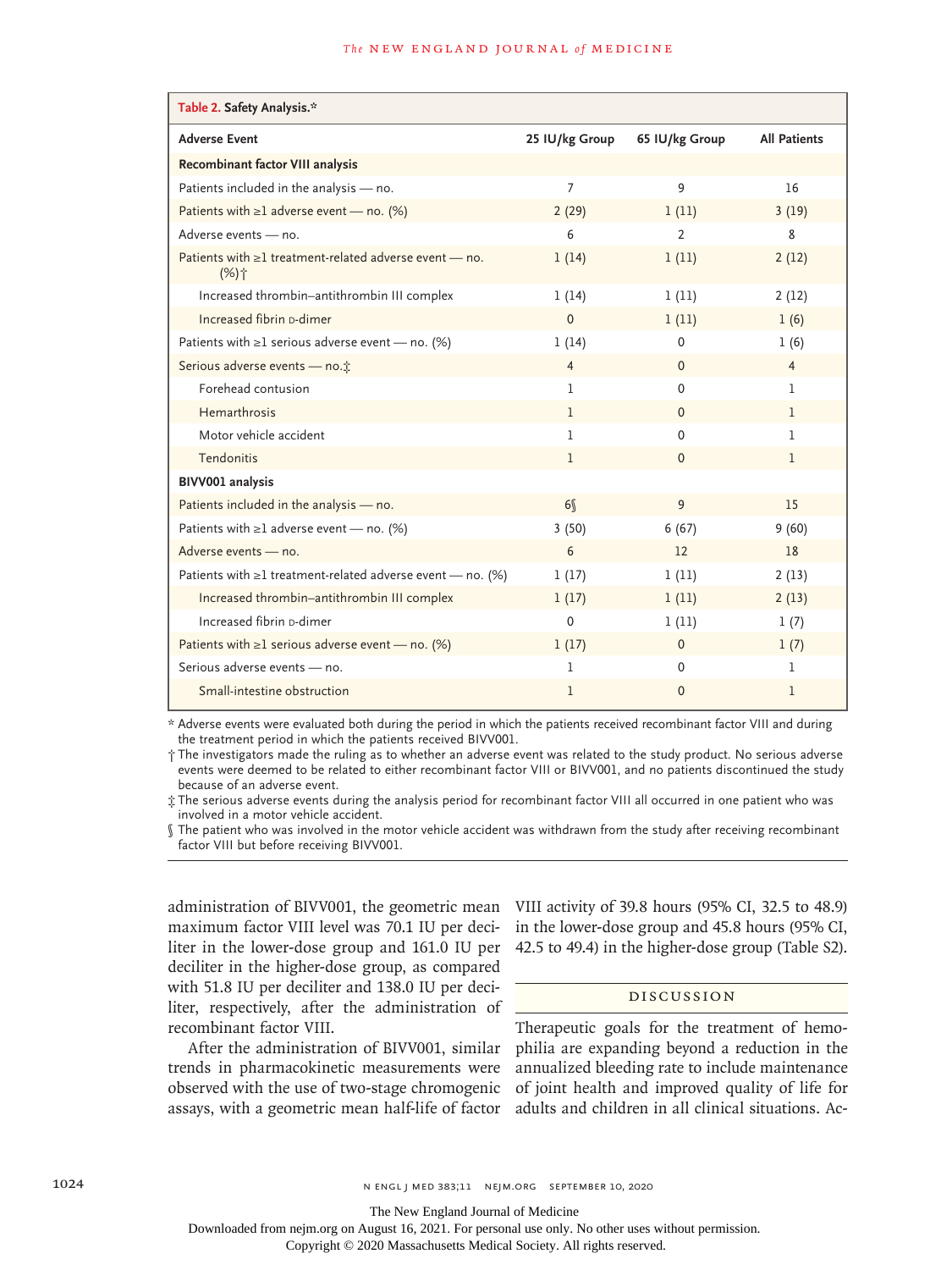#### **The NEW ENGLAND JOURNAL of MEDICINE**

| Table 2. Safety Analysis.*                                                         |                |                   |                     |
|------------------------------------------------------------------------------------|----------------|-------------------|---------------------|
| <b>Adverse Event</b>                                                               | 25 IU/kg Group | 65 IU/kg Group    | <b>All Patients</b> |
| Recombinant factor VIII analysis                                                   |                |                   |                     |
| Patients included in the analysis - no.                                            | 7              | 9                 | 16                  |
| Patients with $\geq 1$ adverse event - no. (%)                                     | 2(29)          | 1(11)             | 3(19)               |
| Adverse events - no.                                                               | 6              | 2                 | 8                   |
| Patients with $\geq 1$ treatment-related adverse event - no.<br>$(%)$ <sup>+</sup> | 1(14)          | 1(11)             | 2(12)               |
| Increased thrombin-antithrombin III complex                                        | 1(14)          | 1(11)             | 2(12)               |
| Increased fibrin p-dimer                                                           | $\Omega$       | 1(11)             | 1(6)                |
| Patients with $\geq 1$ serious adverse event - no. (%)                             | 1(14)          | $\Omega$          | 1(6)                |
| Serious adverse events - no. <sup>*</sup>                                          | 4              | $\Omega$          | $\overline{4}$      |
| Forehead contusion                                                                 | 1              | $\Omega$          | 1                   |
| Hemarthrosis                                                                       | 1              | $\Omega$          | 1                   |
| Motor vehicle accident                                                             | 1              | $\Omega$          | $\mathbf{1}$        |
| Tendonitis                                                                         | 1              | $\Omega$          | 1                   |
| BIVV001 analysis                                                                   |                |                   |                     |
| Patients included in the analysis - no.                                            | 6 <sup>6</sup> | 9                 | 15                  |
| Patients with $\geq 1$ adverse event — no. (%)                                     | 3(50)          | 6(67)             | 9(60)               |
| Adverse events - no.                                                               | 6              | $12 \overline{ }$ | 18                  |
| Patients with $\geq 1$ treatment-related adverse event — no. (%)                   | 1(17)          | 1(11)             | 2(13)               |
| Increased thrombin-antithrombin III complex                                        | 1(17)          | 1(11)             | 2(13)               |
| Increased fibrin p-dimer                                                           | $\mathbf 0$    | 1(11)             | 1(7)                |
| Patients with $\geq 1$ serious adverse event - no. (%)                             | 1(17)          | $\mathbf{0}$      | 1(7)                |
| Serious adverse events - no.                                                       | 1              | $\Omega$          | 1                   |
| Small-intestine obstruction                                                        | 1              | $\mathbf{0}$      | 1                   |

\* Adverse events were evaluated both during the period in which the patients received recombinant factor VIII and during the treatment period in which the patients received BIVV001.

† The investigators made the ruling as to whether an adverse event was related to the study product. No serious adverse events were deemed to be related to either recombinant factor VIII or BIVV001, and no patients discontinued the study because of an adverse event.

‡ The serious adverse events during the analysis period for recombinant factor VIII all occurred in one patient who was involved in a motor vehicle accident.

§ The patient who was involved in the motor vehicle accident was withdrawn from the study after receiving recombinant factor VIII but before receiving BIVV001.

maximum factor VIII level was 70.1 IU per deciliter in the lower-dose group and 161.0 IU per deciliter in the higher-dose group, as compared with 51.8 IU per deciliter and 138.0 IU per deciliter, respectively, after the administration of recombinant factor VIII.

After the administration of BIVV001, similar trends in pharmacokinetic measurements were observed with the use of two-stage chromogenic assays, with a geometric mean half-life of factor

administration of BIVV001, the geometric mean VIII activity of 39.8 hours (95% CI, 32.5 to 48.9) in the lower-dose group and 45.8 hours (95% CI, 42.5 to 49.4) in the higher-dose group (Table S2).

# Discussion

Therapeutic goals for the treatment of hemophilia are expanding beyond a reduction in the annualized bleeding rate to include maintenance of joint health and improved quality of life for adults and children in all clinical situations. Ac-

The New England Journal of Medicine

Downloaded from nejm.org on August 16, 2021. For personal use only. No other uses without permission.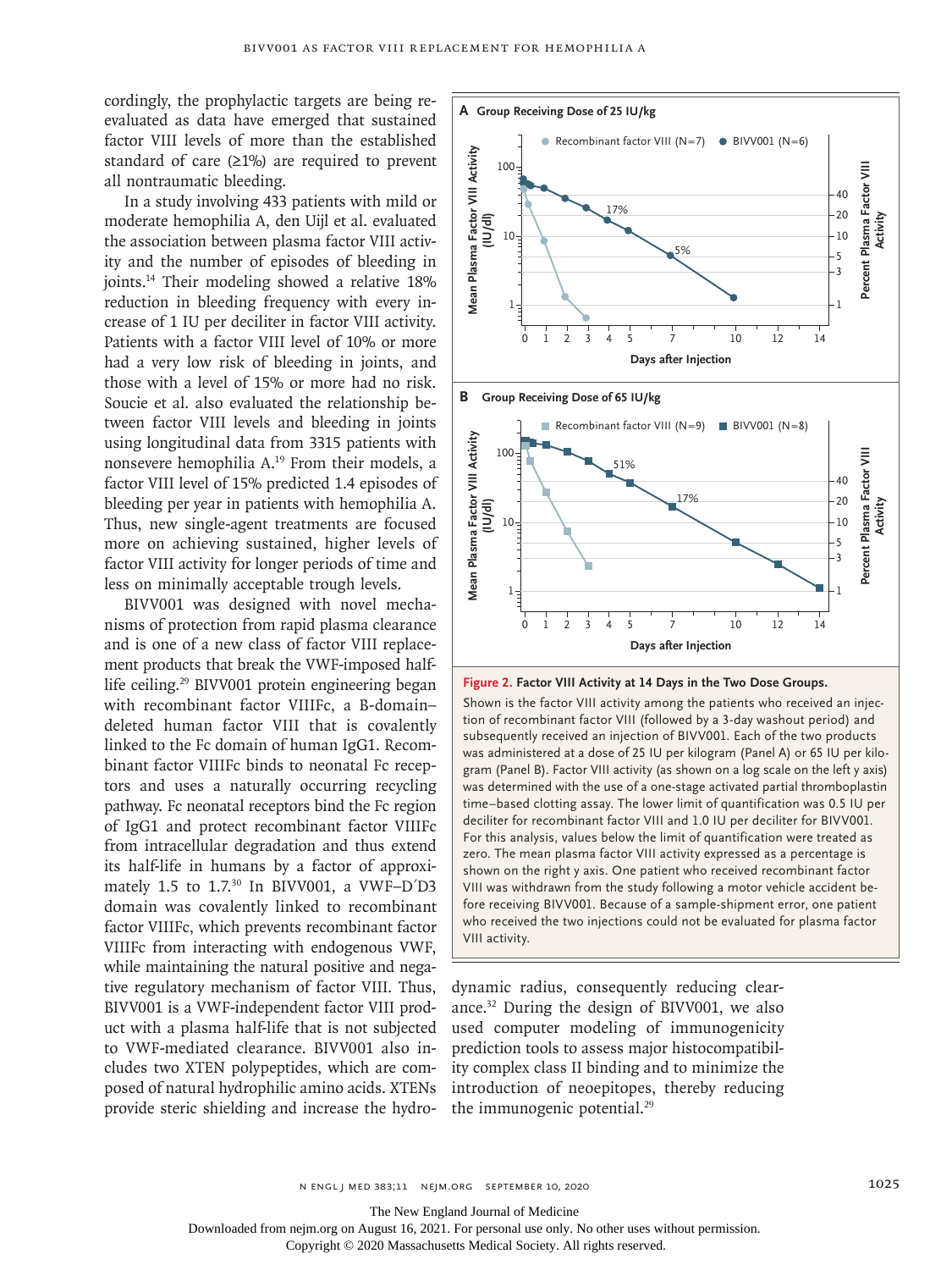cordingly, the prophylactic targets are being reevaluated as data have emerged that sustained factor VIII levels of more than the established standard of care  $(21%)$  are required to prevent all nontraumatic bleeding.

In a study involving 433 patients with mild or moderate hemophilia A, den Uijl et al. evaluated the association between plasma factor VIII activity and the number of episodes of bleeding in joints.14 Their modeling showed a relative 18% reduction in bleeding frequency with every increase of 1 IU per deciliter in factor VIII activity. Patients with a factor VIII level of 10% or more had a very low risk of bleeding in joints, and those with a level of 15% or more had no risk. Soucie et al. also evaluated the relationship between factor VIII levels and bleeding in joints using longitudinal data from 3315 patients with nonsevere hemophilia A.19 From their models, a factor VIII level of 15% predicted 1.4 episodes of bleeding per year in patients with hemophilia A. Thus, new single-agent treatments are focused more on achieving sustained, higher levels of factor VIII activity for longer periods of time and less on minimally acceptable trough levels.

BIVV001 was designed with novel mechanisms of protection from rapid plasma clearance and is one of a new class of factor VIII replacement products that break the VWF-imposed halflife ceiling.29 BIVV001 protein engineering began with recombinant factor VIIIFc, a B-domain– deleted human factor VIII that is covalently linked to the Fc domain of human IgG1. Recombinant factor VIIIFc binds to neonatal Fc receptors and uses a naturally occurring recycling pathway. Fc neonatal receptors bind the Fc region of IgG1 and protect recombinant factor VIIIFc from intracellular degradation and thus extend its half-life in humans by a factor of approximately 1.5 to 1.7.<sup>30</sup> In BIVV001, a VWF-D<sup>'</sup>D3 domain was covalently linked to recombinant factor VIIIFc, which prevents recombinant factor VIIIFc from interacting with endogenous VWF, while maintaining the natural positive and negative regulatory mechanism of factor VIII. Thus, BIVV001 is a VWF-independent factor VIII product with a plasma half-life that is not subjected to VWF-mediated clearance. BIVV001 also includes two XTEN polypeptides, which are composed of natural hydrophilic amino acids. XTENs provide steric shielding and increase the hydro-



**Figure 2. Factor VIII Activity at 14 Days in the Two Dose Groups.**

Shown is the factor VIII activity among the patients who received an injection of recombinant factor VIII (followed by a 3-day washout period) and subsequently received an injection of BIVV001. Each of the two products was administered at a dose of 25 IU per kilogram (Panel A) or 65 IU per kilogram (Panel B). Factor VIII activity (as shown on a log scale on the left y axis) was determined with the use of a one-stage activated partial thromboplastin time–based clotting assay. The lower limit of quantification was 0.5 IU per deciliter for recombinant factor VIII and 1.0 IU per deciliter for BIVV001. For this analysis, values below the limit of quantification were treated as zero. The mean plasma factor VIII activity expressed as a percentage is shown on the right y axis. One patient who received recombinant factor VIII was withdrawn from the study following a motor vehicle accident before receiving BIVV001. Because of a sample-shipment error, one patient who received the two injections could not be evaluated for plasma factor VIII activity.

dynamic radius, consequently reducing clearance.32 During the design of BIVV001, we also used computer modeling of immunogenicity prediction tools to assess major histocompatibility complex class II binding and to minimize the introduction of neoepitopes, thereby reducing the immunogenic potential.<sup>29</sup>

The New England Journal of Medicine

Downloaded from nejm.org on August 16, 2021. For personal use only. No other uses without permission.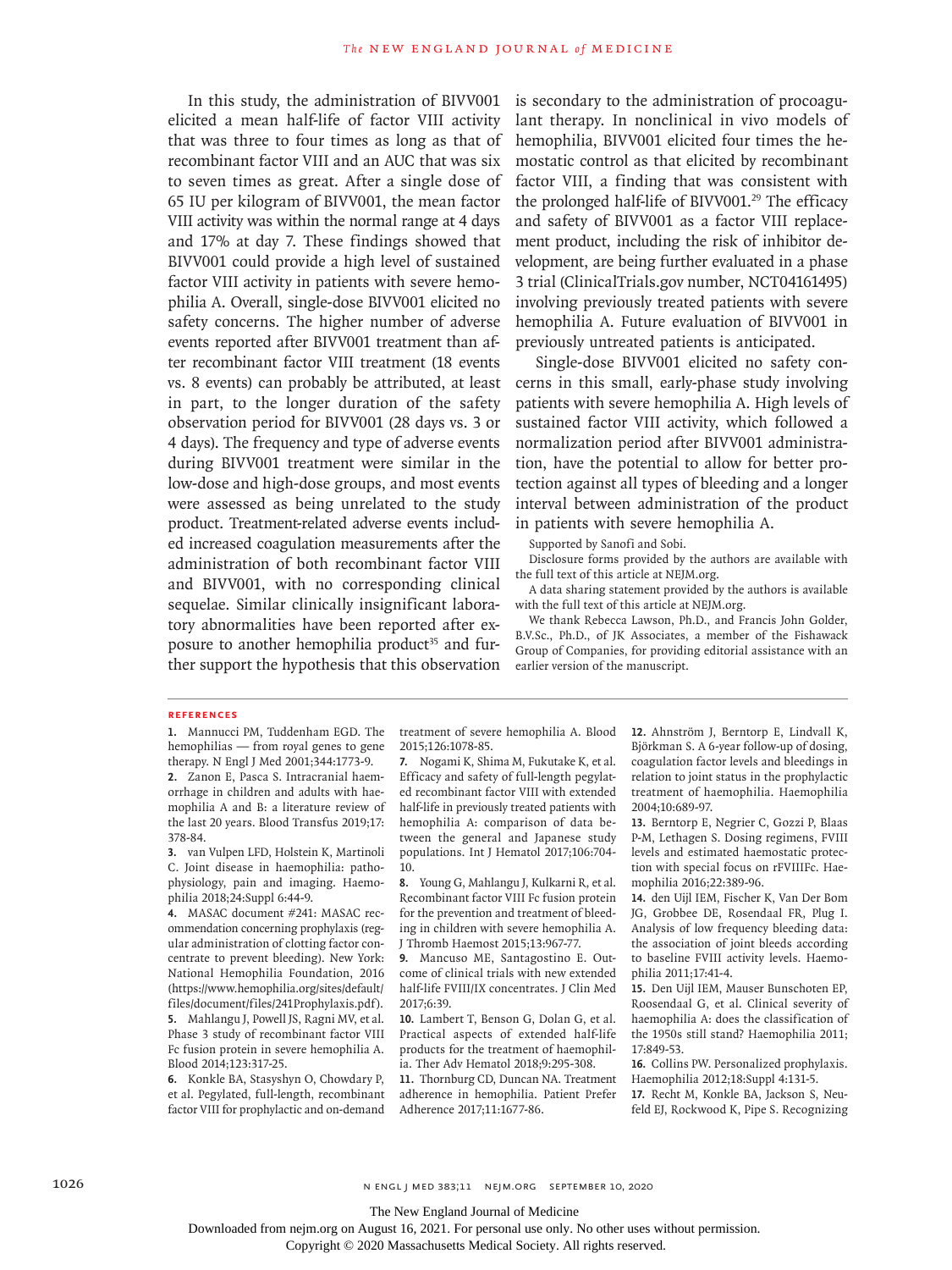In this study, the administration of BIVV001 elicited a mean half-life of factor VIII activity that was three to four times as long as that of recombinant factor VIII and an AUC that was six to seven times as great. After a single dose of 65 IU per kilogram of BIVV001, the mean factor VIII activity was within the normal range at 4 days and 17% at day 7. These findings showed that BIVV001 could provide a high level of sustained factor VIII activity in patients with severe hemophilia A. Overall, single-dose BIVV001 elicited no safety concerns. The higher number of adverse events reported after BIVV001 treatment than after recombinant factor VIII treatment (18 events vs. 8 events) can probably be attributed, at least in part, to the longer duration of the safety observation period for BIVV001 (28 days vs. 3 or 4 days). The frequency and type of adverse events during BIVV001 treatment were similar in the low-dose and high-dose groups, and most events were assessed as being unrelated to the study product. Treatment-related adverse events included increased coagulation measurements after the administration of both recombinant factor VIII and BIVV001, with no corresponding clinical sequelae. Similar clinically insignificant laboratory abnormalities have been reported after exposure to another hemophilia product<sup>35</sup> and further support the hypothesis that this observation is secondary to the administration of procoagulant therapy. In nonclinical in vivo models of hemophilia, BIVV001 elicited four times the hemostatic control as that elicited by recombinant factor VIII, a finding that was consistent with the prolonged half-life of BIVV001.<sup>29</sup> The efficacy and safety of BIVV001 as a factor VIII replacement product, including the risk of inhibitor development, are being further evaluated in a phase 3 trial (ClinicalTrials.gov number, NCT04161495) involving previously treated patients with severe hemophilia A. Future evaluation of BIVV001 in previously untreated patients is anticipated.

Single-dose BIVV001 elicited no safety concerns in this small, early-phase study involving patients with severe hemophilia A. High levels of sustained factor VIII activity, which followed a normalization period after BIVV001 administration, have the potential to allow for better protection against all types of bleeding and a longer interval between administration of the product in patients with severe hemophilia A.

Supported by Sanofi and Sobi.

Disclosure forms provided by the authors are available with the full text of this article at NEJM.org.

A data sharing statement provided by the authors is available with the full text of this article at NEJM.org.

We thank Rebecca Lawson, Ph.D., and Francis John Golder, B.V.Sc., Ph.D., of JK Associates, a member of the Fishawack Group of Companies, for providing editorial assistance with an earlier version of the manuscript.

#### **References**

**1.** Mannucci PM, Tuddenham EGD. The hemophilias — from royal genes to gene therapy. N Engl J Med 2001;344:1773-9.

**2.** Zanon E, Pasca S. Intracranial haemorrhage in children and adults with haemophilia A and B: a literature review of the last 20 years. Blood Transfus 2019;17: 378-84.

**3.** van Vulpen LFD, Holstein K, Martinoli C. Joint disease in haemophilia: pathophysiology, pain and imaging. Haemophilia 2018;24:Suppl 6:44-9.

**4.** MASAC document #241: MASAC recommendation concerning prophylaxis (regular administration of clotting factor concentrate to prevent bleeding). New York: National Hemophilia Foundation, 2016 (https://www.hemophilia.org/sites/default/ files/document/files/241Prophylaxis.pdf). **5.** Mahlangu J, Powell JS, Ragni MV, et al. Phase 3 study of recombinant factor VIII Fc fusion protein in severe hemophilia A. Blood 2014;123:317-25.

**6.** Konkle BA, Stasyshyn O, Chowdary P, et al. Pegylated, full-length, recombinant factor VIII for prophylactic and on-demand

treatment of severe hemophilia A. Blood 2015;126:1078-85.

**7.** Nogami K, Shima M, Fukutake K, et al. Efficacy and safety of full-length pegylated recombinant factor VIII with extended half-life in previously treated patients with hemophilia A: comparison of data between the general and Japanese study populations. Int J Hematol 2017;106:704- 10.

**8.** Young G, Mahlangu J, Kulkarni R, et al. Recombinant factor VIII Fc fusion protein for the prevention and treatment of bleeding in children with severe hemophilia A. J Thromb Haemost 2015;13:967-77.

**9.** Mancuso ME, Santagostino E. Outcome of clinical trials with new extended half-life FVIII/IX concentrates. J Clin Med 2017;6:39.

**10.** Lambert T, Benson G, Dolan G, et al. Practical aspects of extended half-life products for the treatment of haemophilia. Ther Adv Hematol 2018;9:295-308.

**11.** Thornburg CD, Duncan NA. Treatment adherence in hemophilia. Patient Prefer Adherence 2017;11:1677-86.

**12.** Ahnström J, Berntorp E, Lindvall K, Björkman S. A 6-year follow-up of dosing, coagulation factor levels and bleedings in relation to joint status in the prophylactic treatment of haemophilia. Haemophilia 2004;10:689-97.

**13.** Berntorp E, Negrier C, Gozzi P, Blaas P-M, Lethagen S. Dosing regimens, FVIII levels and estimated haemostatic protection with special focus on rFVIIIFc. Haemophilia 2016;22:389-96.

**14.** den Uijl IEM, Fischer K, Van Der Bom JG, Grobbee DE, Rosendaal FR, Plug I. Analysis of low frequency bleeding data: the association of joint bleeds according to baseline FVIII activity levels. Haemophilia 2011;17:41-4.

**15.** Den Uijl IEM, Mauser Bunschoten EP, Roosendaal G, et al. Clinical severity of haemophilia A: does the classification of the 1950s still stand? Haemophilia 2011; 17:849-53.

**16.** Collins PW. Personalized prophylaxis. Haemophilia 2012;18:Suppl 4:131-5.

**17.** Recht M, Konkle BA, Jackson S, Neufeld EJ, Rockwood K, Pipe S. Recognizing

The New England Journal of Medicine

Downloaded from nejm.org on August 16, 2021. For personal use only. No other uses without permission.